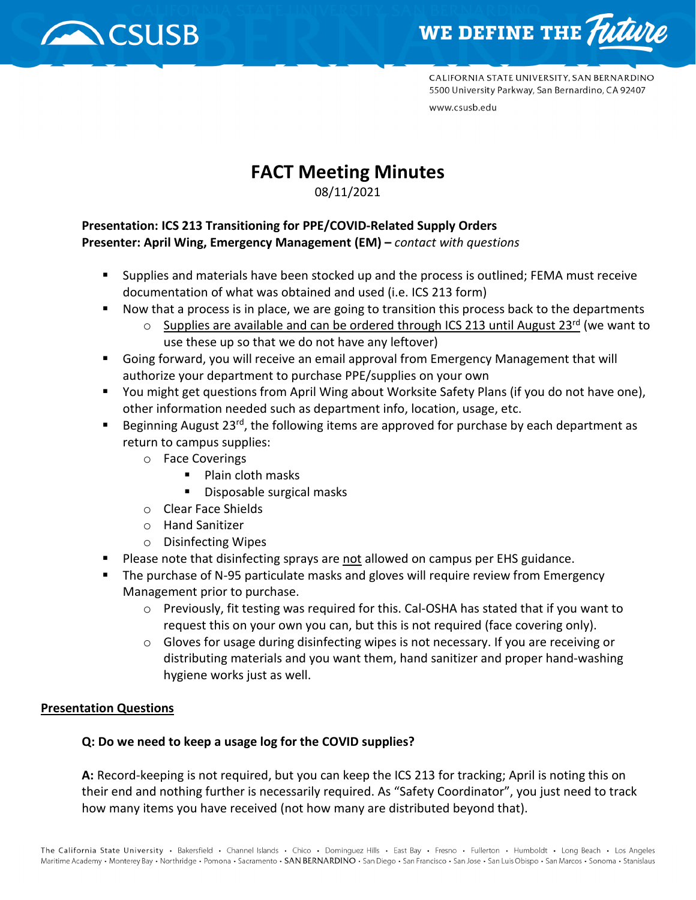



CALIFORNIA STATE UNIVERSITY, SAN BERNARDINO 5500 University Parkway, San Bernardino, CA 92407 www.csusb.edu

# **FACT Meeting Minutes**

08/11/2021

#### **Presentation: ICS 213 Transitioning for PPE/COVID-Related Supply Orders Presenter: April Wing, Emergency Management (EM) –** *contact with questions*

- **Supplies and materials have been stocked up and the process is outlined; FEMA must receive** documentation of what was obtained and used (i.e. ICS 213 form)
- Now that a process is in place, we are going to transition this process back to the departments
	- $\circ$  Supplies are available and can be ordered through ICS 213 until August 23<sup>rd</sup> (we want to use these up so that we do not have any leftover)
- Going forward, you will receive an email approval from Emergency Management that will authorize your department to purchase PPE/supplies on your own
- You might get questions from April Wing about Worksite Safety Plans (if you do not have one), other information needed such as department info, location, usage, etc.
- Beginning August 23<sup>rd</sup>, the following items are approved for purchase by each department as return to campus supplies:
	- o Face Coverings
		- **Plain cloth masks**
		- **Disposable surgical masks**
	- o Clear Face Shields
	- o Hand Sanitizer
	- o Disinfecting Wipes
- **Please note that disinfecting sprays are not allowed on campus per EHS guidance.**
- **The purchase of N-95 particulate masks and gloves will require review from Emergency** Management prior to purchase.
	- $\circ$  Previously, fit testing was required for this. Cal-OSHA has stated that if you want to request this on your own you can, but this is not required (face covering only).
	- $\circ$  Gloves for usage during disinfecting wipes is not necessary. If you are receiving or distributing materials and you want them, hand sanitizer and proper hand-washing hygiene works just as well.

### **Presentation Questions**

### **Q: Do we need to keep a usage log for the COVID supplies?**

**A:** Record-keeping is not required, but you can keep the ICS 213 for tracking; April is noting this on their end and nothing further is necessarily required. As "Safety Coordinator", you just need to track how many items you have received (not how many are distributed beyond that).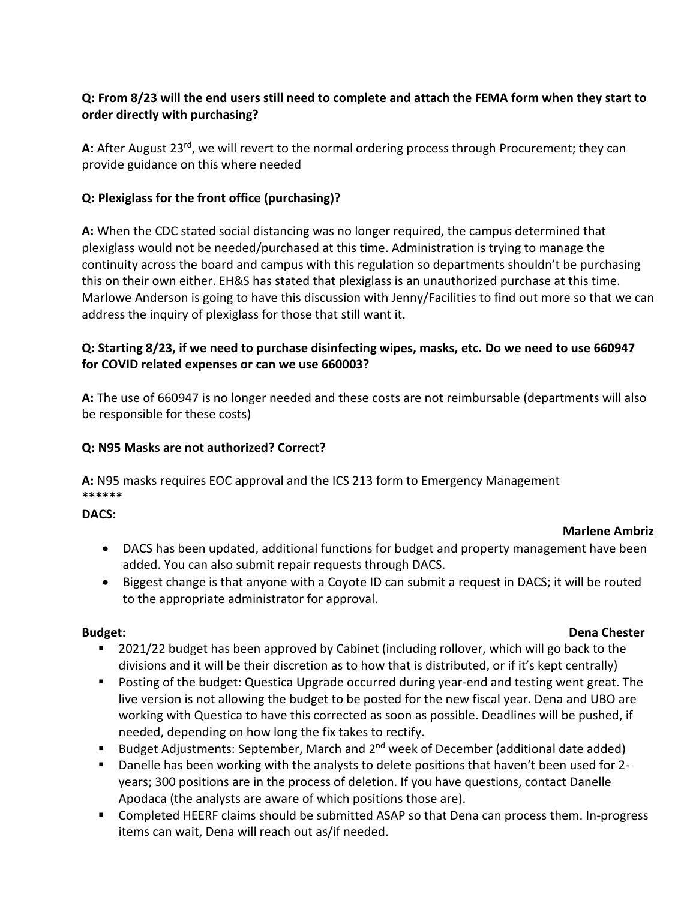# **Q: From 8/23 will the end users still need to complete and attach the FEMA form when they start to order directly with purchasing?**

A: After August 23<sup>rd</sup>, we will revert to the normal ordering process through Procurement; they can provide guidance on this where needed

# **Q: Plexiglass for the front office (purchasing)?**

**A:** When the CDC stated social distancing was no longer required, the campus determined that plexiglass would not be needed/purchased at this time. Administration is trying to manage the continuity across the board and campus with this regulation so departments shouldn't be purchasing this on their own either. EH&S has stated that plexiglass is an unauthorized purchase at this time. Marlowe Anderson is going to have this discussion with Jenny/Facilities to find out more so that we can address the inquiry of plexiglass for those that still want it.

# **Q: Starting 8/23, if we need to purchase disinfecting wipes, masks, etc. Do we need to use 660947 for COVID related expenses or can we use 660003?**

**A:** The use of 660947 is no longer needed and these costs are not reimbursable (departments will also be responsible for these costs)

# **Q: N95 Masks are not authorized? Correct?**

**A:** N95 masks requires EOC approval and the ICS 213 form to Emergency Management **\*\*\*\*\*\***

### **DACS:**

### **Marlene Ambriz**

- DACS has been updated, additional functions for budget and property management have been added. You can also submit repair requests through DACS.
- Biggest change is that anyone with a Coyote ID can submit a request in DACS; it will be routed to the appropriate administrator for approval.

#### **Budget: Dena Chester**

- **2021/22 budget has been approved by Cabinet (including rollover, which will go back to the** divisions and it will be their discretion as to how that is distributed, or if it's kept centrally)
- **Posting of the budget: Questica Upgrade occurred during year-end and testing went great. The** live version is not allowing the budget to be posted for the new fiscal year. Dena and UBO are working with Questica to have this corrected as soon as possible. Deadlines will be pushed, if needed, depending on how long the fix takes to rectify.
- Budget Adjustments: September, March and  $2^{nd}$  week of December (additional date added)
- **Danelle has been working with the analysts to delete positions that haven't been used for 2**years; 300 positions are in the process of deletion. If you have questions, contact Danelle Apodaca (the analysts are aware of which positions those are).
- Completed HEERF claims should be submitted ASAP so that Dena can process them. In-progress items can wait, Dena will reach out as/if needed.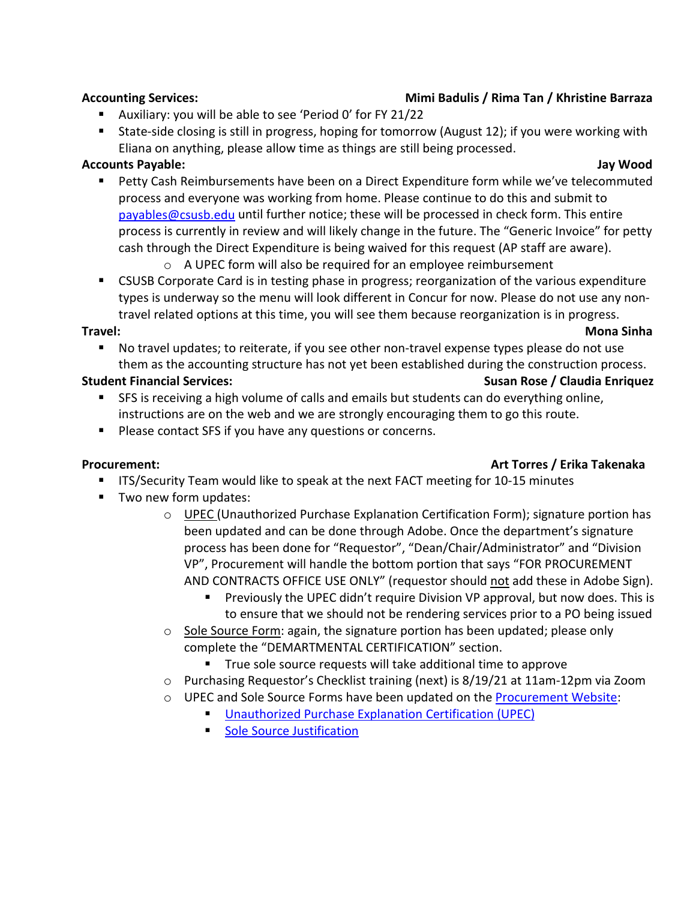### **Accounting Services: Mimi Badulis / Rima Tan / Khristine Barraza**

- Auxiliary: you will be able to see 'Period 0' for FY 21/22
- State-side closing is still in progress, hoping for tomorrow (August 12); if you were working with Eliana on anything, please allow time as things are still being processed.

### **Accounts Payable: Jay Wood**

- **Petty Cash Reimbursements have been on a Direct Expenditure form while we've telecommuted** process and everyone was working from home. Please continue to do this and submit to [payables@csusb.edu](mailto:payables@csusb.edu) until further notice; these will be processed in check form. This entire process is currently in review and will likely change in the future. The "Generic Invoice" for petty cash through the Direct Expenditure is being waived for this request (AP staff are aware).
	- o A UPEC form will also be required for an employee reimbursement
- CSUSB Corporate Card is in testing phase in progress; reorganization of the various expenditure types is underway so the menu will look different in Concur for now. Please do not use any nontravel related options at this time, you will see them because reorganization is in progress.

#### **Travel: Mona Sinha**

 No travel updates; to reiterate, if you see other non-travel expense types please do not use them as the accounting structure has not yet been established during the construction process.

# **Student Financial Services: Susan Rose / Claudia Enriquez**

- SFS is receiving a high volume of calls and emails but students can do everything online, instructions are on the web and we are strongly encouraging them to go this route.
- **Please contact SFS if you have any questions or concerns.**

# **Procurement: Art Torres / Erika Takenaka**

- **IFICH ATT ITS/Security Team would like to speak at the next FACT meeting for 10-15 minutes**
- Two new form updates:
	- o UPEC (Unauthorized Purchase Explanation Certification Form); signature portion has been updated and can be done through Adobe. Once the department's signature process has been done for "Requestor", "Dean/Chair/Administrator" and "Division VP", Procurement will handle the bottom portion that says "FOR PROCUREMENT AND CONTRACTS OFFICE USE ONLY" (requestor should not add these in Adobe Sign).
		- **Previously the UPEC didn't require Division VP approval, but now does. This is** to ensure that we should not be rendering services prior to a PO being issued
	- o Sole Source Form: again, the signature portion has been updated; please only complete the "DEMARTMENTAL CERTIFICATION" section.
		- True sole source requests will take additional time to approve
	- o Purchasing Requestor's Checklist training (next) is 8/19/21 at 11am-12pm via Zoom
	- o UPEC and Sole Source Forms have been updated on the [Procurement Website:](https://www.csusb.edu/procurement/forms-documents)
		- [Unauthorized Purchase Explanation Certification \(UPEC\)](https://www.csusb.edu/sites/default/files/Unauthorized%20Purchase%20Explanation%20Certification%20%28UPEC%29_20210811.pdf)
		- **[Sole Source Justification](https://www.csusb.edu/sites/default/files/Sole%20Source%20Justification_20210811_0.pdf)**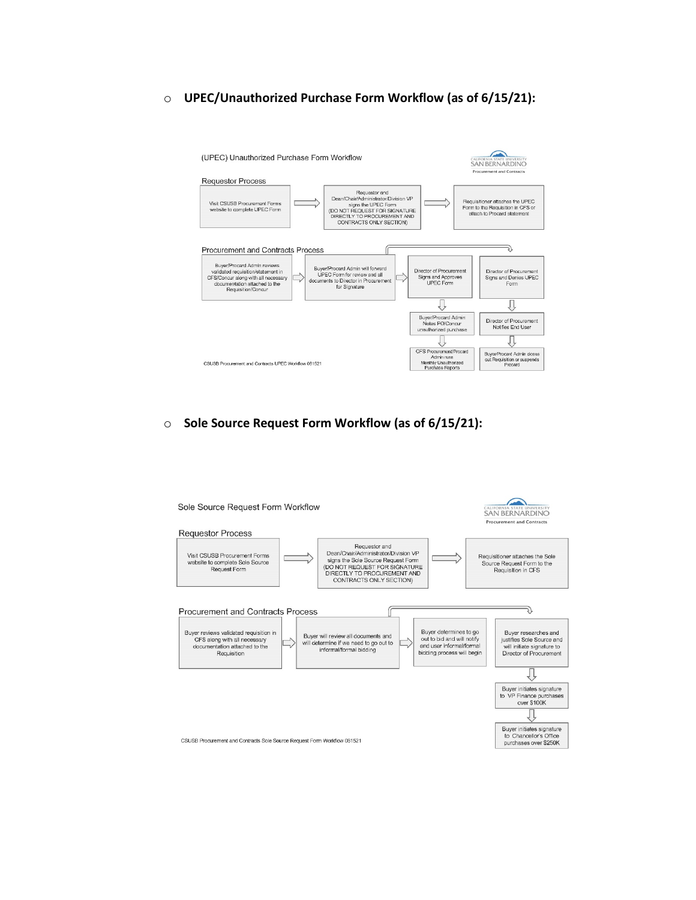#### o **UPEC/Unauthorized Purchase Form Workflow (as of 6/15/21):**



#### o **Sole Source Request Form Workflow (as of 6/15/21):**